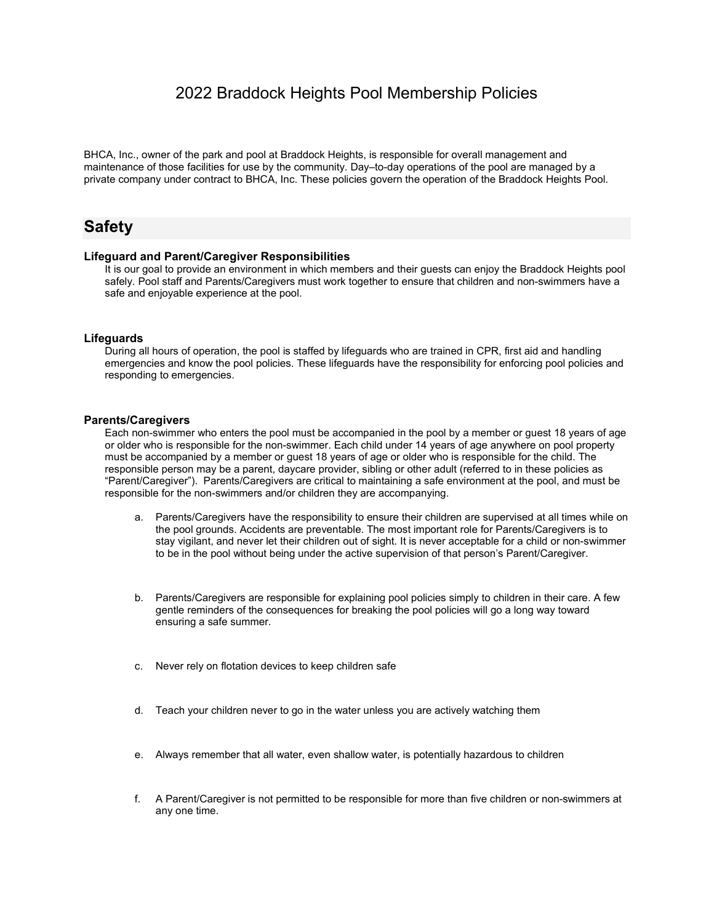### 2022 Braddock Heights Pool Membership Policies

BHCA, Inc., owner of the park and pool at Braddock Heights, is responsible for overall management and maintenance of those facilities for use by the community. Day–to-day operations of the pool are managed by a private company under contract to BHCA, Inc. These policies govern the operation of the Braddock Heights Pool.

## **Safety**

#### **Lifeguard and Parent/Caregiver Responsibilities**

It is our goal to provide an environment in which members and their guests can enjoy the Braddock Heights pool safely. Pool staff and Parents/Caregivers must work together to ensure that children and non-swimmers have a safe and enjoyable experience at the pool.

#### **Lifeguards**

During all hours of operation, the pool is staffed by lifeguards who are trained in CPR, first aid and handling emergencies and know the pool policies. These lifeguards have the responsibility for enforcing pool policies and responding to emergencies.

#### **Parents/Caregivers**

Each non-swimmer who enters the pool must be accompanied in the pool by a member or guest 18 years of age or older who is responsible for the non-swimmer. Each child under 14 years of age anywhere on pool property must be accompanied by a member or guest 18 years of age or older who is responsible for the child. The responsible person may be a parent, daycare provider, sibling or other adult (referred to in these policies as "Parent/Caregiver"). Parents/Caregivers are critical to maintaining a safe environment at the pool, and must be responsible for the non-swimmers and/or children they are accompanying.

- a. Parents/Caregivers have the responsibility to ensure their children are supervised at all times while on the pool grounds. Accidents are preventable. The most important role for Parents/Caregivers is to stay vigilant, and never let their children out of sight. It is never acceptable for a child or non-swimmer to be in the pool without being under the active supervision of that person's Parent/Caregiver.
- b. Parents/Caregivers are responsible for explaining pool policies simply to children in their care. A few gentle reminders of the consequences for breaking the pool policies will go a long way toward ensuring a safe summer.
- c. Never rely on flotation devices to keep children safe
- d. Teach your children never to go in the water unless you are actively watching them
- e. Always remember that all water, even shallow water, is potentially hazardous to children
- f. A Parent/Caregiver is not permitted to be responsible for more than five children or non-swimmers at any one time.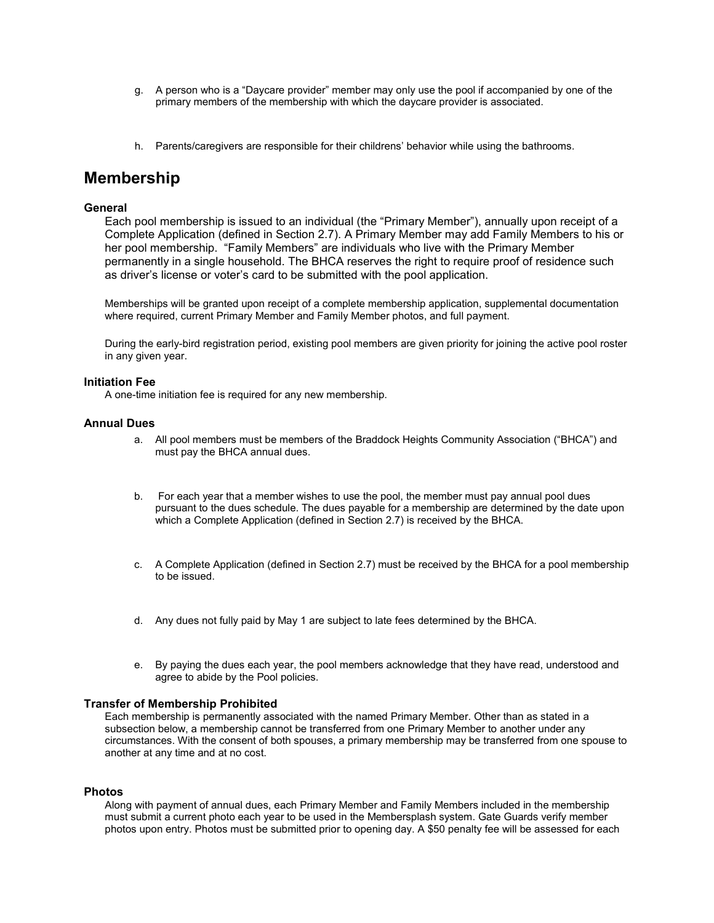- g. A person who is a "Daycare provider" member may only use the pool if accompanied by one of the primary members of the membership with which the daycare provider is associated.
- h. Parents/caregivers are responsible for their childrens' behavior while using the bathrooms.

### **Membership**

#### **General**

Each pool membership is issued to an individual (the "Primary Member"), annually upon receipt of a Complete Application (defined in Section 2.7). A Primary Member may add Family Members to his or her pool membership. "Family Members" are individuals who live with the Primary Member permanently in a single household. The BHCA reserves the right to require proof of residence such as driver's license or voter's card to be submitted with the pool application.

Memberships will be granted upon receipt of a complete membership application, supplemental documentation where required, current Primary Member and Family Member photos, and full payment.

During the early-bird registration period, existing pool members are given priority for joining the active pool roster in any given year.

#### **Initiation Fee**

A one-time initiation fee is required for any new membership.

#### **Annual Dues**

- a. All pool members must be members of the Braddock Heights Community Association ("BHCA") and must pay the BHCA annual dues.
- b. For each year that a member wishes to use the pool, the member must pay annual pool dues pursuant to the dues schedule. The dues payable for a membership are determined by the date upon which a Complete Application (defined in Section 2.7) is received by the BHCA.
- c. A Complete Application (defined in Section 2.7) must be received by the BHCA for a pool membership to be issued.
- d. Any dues not fully paid by May 1 are subject to late fees determined by the BHCA.
- e. By paying the dues each year, the pool members acknowledge that they have read, understood and agree to abide by the Pool policies.

#### **Transfer of Membership Prohibited**

Each membership is permanently associated with the named Primary Member. Other than as stated in a subsection below, a membership cannot be transferred from one Primary Member to another under any circumstances. With the consent of both spouses, a primary membership may be transferred from one spouse to another at any time and at no cost.

#### **Photos**

Along with payment of annual dues, each Primary Member and Family Members included in the membership must submit a current photo each year to be used in the Membersplash system. Gate Guards verify member photos upon entry. Photos must be submitted prior to opening day. A \$50 penalty fee will be assessed for each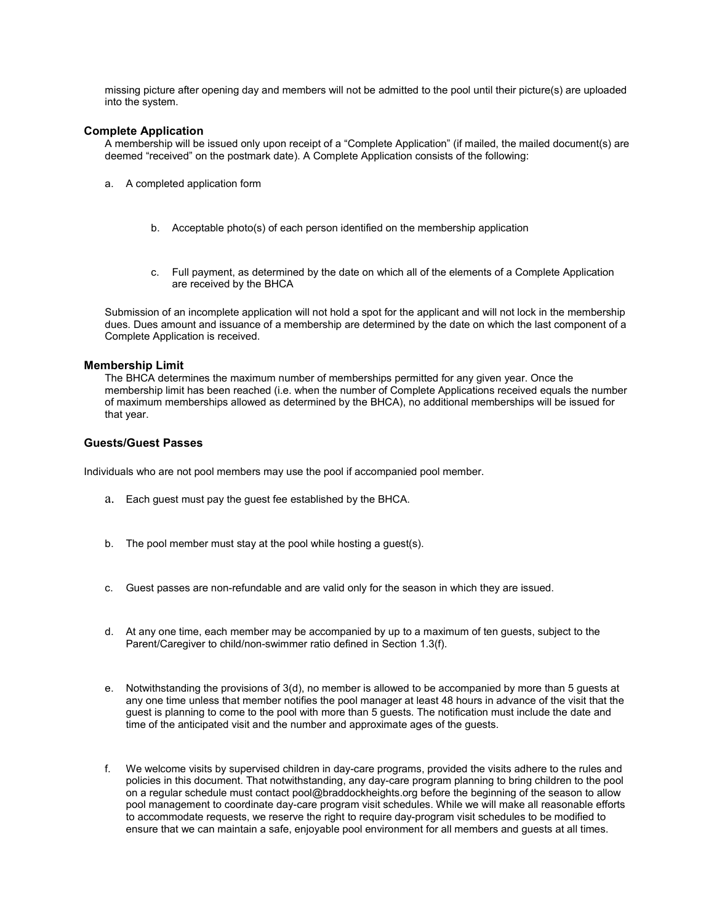missing picture after opening day and members will not be admitted to the pool until their picture(s) are uploaded into the system.

#### **Complete Application**

A membership will be issued only upon receipt of a "Complete Application" (if mailed, the mailed document(s) are deemed "received" on the postmark date). A Complete Application consists of the following:

- a. A completed application form
	- b. Acceptable photo(s) of each person identified on the membership application
	- c. Full payment, as determined by the date on which all of the elements of a Complete Application are received by the BHCA

Submission of an incomplete application will not hold a spot for the applicant and will not lock in the membership dues. Dues amount and issuance of a membership are determined by the date on which the last component of a Complete Application is received.

#### **Membership Limit**

The BHCA determines the maximum number of memberships permitted for any given year. Once the membership limit has been reached (i.e. when the number of Complete Applications received equals the number of maximum memberships allowed as determined by the BHCA), no additional memberships will be issued for that year.

#### **Guests/Guest Passes**

Individuals who are not pool members may use the pool if accompanied pool member.

- a. Each guest must pay the guest fee established by the BHCA.
- b. The pool member must stay at the pool while hosting a guest(s).
- c. Guest passes are non-refundable and are valid only for the season in which they are issued.
- d. At any one time, each member may be accompanied by up to a maximum of ten guests, subject to the Parent/Caregiver to child/non-swimmer ratio defined in Section 1.3(f).
- e. Notwithstanding the provisions of 3(d), no member is allowed to be accompanied by more than 5 guests at any one time unless that member notifies the pool manager at least 48 hours in advance of the visit that the guest is planning to come to the pool with more than 5 guests. The notification must include the date and time of the anticipated visit and the number and approximate ages of the guests.
- f. We welcome visits by supervised children in day-care programs, provided the visits adhere to the rules and policies in this document. That notwithstanding, any day-care program planning to bring children to the pool on a regular schedule must contact pool@braddockheights.org before the beginning of the season to allow pool management to coordinate day-care program visit schedules. While we will make all reasonable efforts to accommodate requests, we reserve the right to require day-program visit schedules to be modified to ensure that we can maintain a safe, enjoyable pool environment for all members and guests at all times.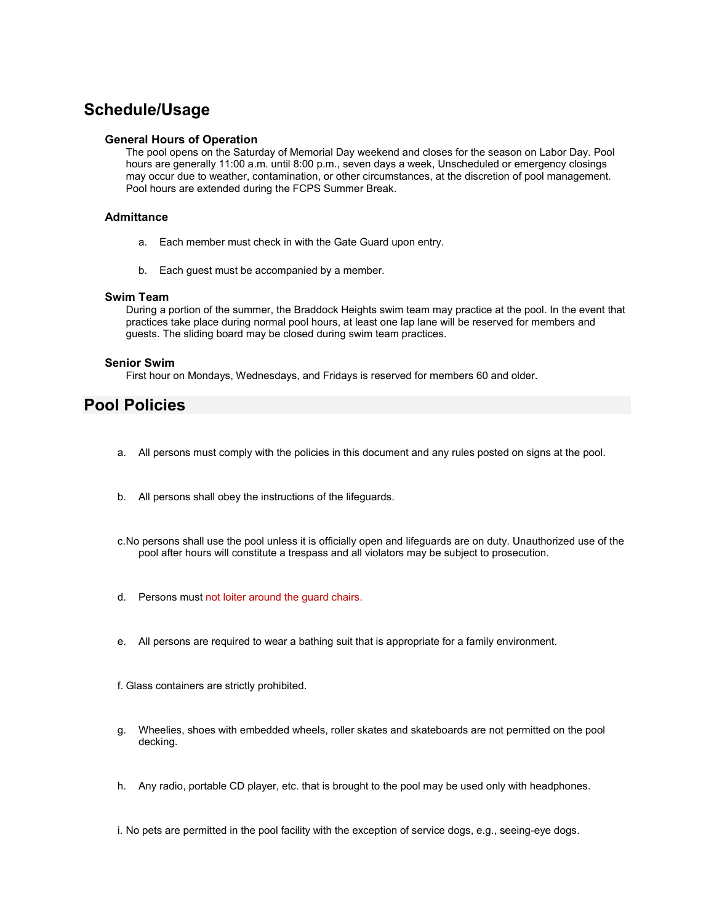## **Schedule/Usage**

#### **General Hours of Operation**

The pool opens on the Saturday of Memorial Day weekend and closes for the season on Labor Day. Pool hours are generally 11:00 a.m. until 8:00 p.m., seven days a week, Unscheduled or emergency closings may occur due to weather, contamination, or other circumstances, at the discretion of pool management. Pool hours are extended during the FCPS Summer Break.

#### **Admittance**

- a. Each member must check in with the Gate Guard upon entry.
- b. Each guest must be accompanied by a member.

#### **Swim Team**

During a portion of the summer, the Braddock Heights swim team may practice at the pool. In the event that practices take place during normal pool hours, at least one lap lane will be reserved for members and guests. The sliding board may be closed during swim team practices.

#### **Senior Swim**

First hour on Mondays, Wednesdays, and Fridays is reserved for members 60 and older.

### **Pool Policies**

- a. All persons must comply with the policies in this document and any rules posted on signs at the pool.
- b. All persons shall obey the instructions of the lifeguards.
- c.No persons shall use the pool unless it is officially open and lifeguards are on duty. Unauthorized use of the pool after hours will constitute a trespass and all violators may be subject to prosecution.
- d. Persons must not loiter around the guard chairs.
- e. All persons are required to wear a bathing suit that is appropriate for a family environment.
- f. Glass containers are strictly prohibited.
- g. Wheelies, shoes with embedded wheels, roller skates and skateboards are not permitted on the pool decking.
- h. Any radio, portable CD player, etc. that is brought to the pool may be used only with headphones.

i. No pets are permitted in the pool facility with the exception of service dogs, e.g., seeing-eye dogs.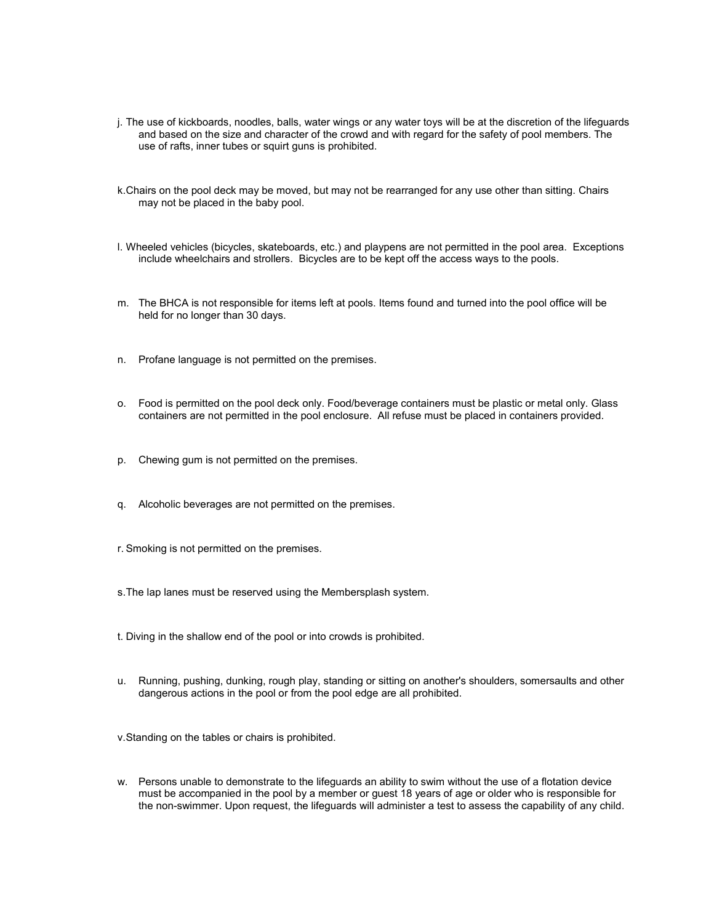- j. The use of kickboards, noodles, balls, water wings or any water toys will be at the discretion of the lifeguards and based on the size and character of the crowd and with regard for the safety of pool members. The use of rafts, inner tubes or squirt guns is prohibited.
- k.Chairs on the pool deck may be moved, but may not be rearranged for any use other than sitting. Chairs may not be placed in the baby pool.
- l. Wheeled vehicles (bicycles, skateboards, etc.) and playpens are not permitted in the pool area. Exceptions include wheelchairs and strollers. Bicycles are to be kept off the access ways to the pools.
- m. The BHCA is not responsible for items left at pools. Items found and turned into the pool office will be held for no longer than 30 days.
- n. Profane language is not permitted on the premises.
- o. Food is permitted on the pool deck only. Food/beverage containers must be plastic or metal only. Glass containers are not permitted in the pool enclosure. All refuse must be placed in containers provided.
- p. Chewing gum is not permitted on the premises.
- q. Alcoholic beverages are not permitted on the premises.
- r. Smoking is not permitted on the premises.
- s.The lap lanes must be reserved using the Membersplash system.
- t. Diving in the shallow end of the pool or into crowds is prohibited.
- u. Running, pushing, dunking, rough play, standing or sitting on another's shoulders, somersaults and other dangerous actions in the pool or from the pool edge are all prohibited.

v.Standing on the tables or chairs is prohibited.

w. Persons unable to demonstrate to the lifeguards an ability to swim without the use of a flotation device must be accompanied in the pool by a member or guest 18 years of age or older who is responsible for the non-swimmer. Upon request, the lifeguards will administer a test to assess the capability of any child.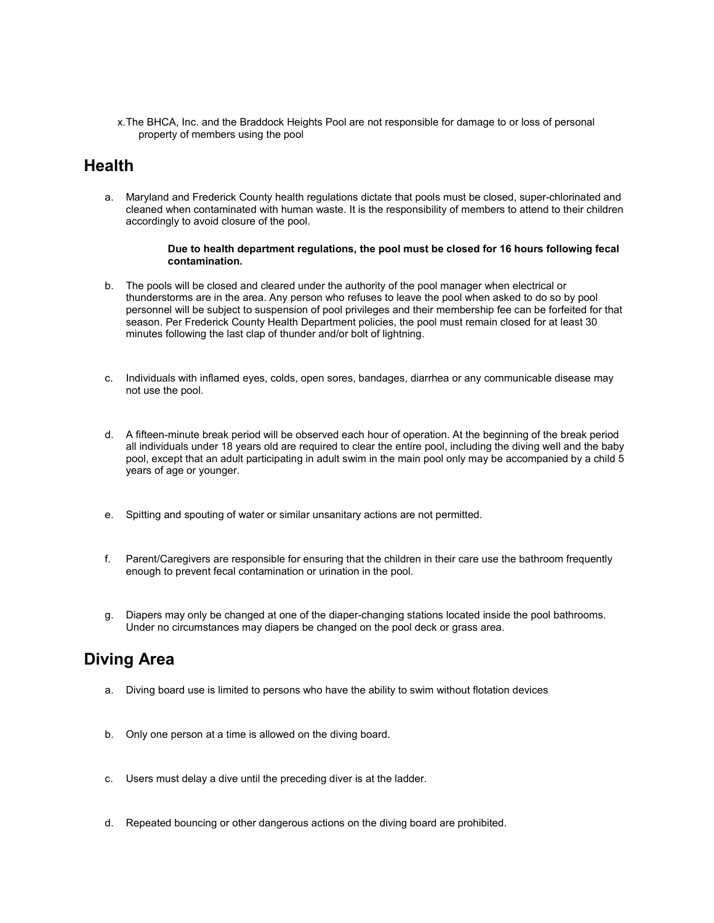x.The BHCA, Inc. and the Braddock Heights Pool are not responsible for damage to or loss of personal property of members using the pool

### **Health**

a. Maryland and Frederick County health regulations dictate that pools must be closed, super-chlorinated and cleaned when contaminated with human waste. It is the responsibility of members to attend to their children accordingly to avoid closure of the pool.

#### **Due to health department regulations, the pool must be closed for 16 hours following fecal contamination.**

- b. The pools will be closed and cleared under the authority of the pool manager when electrical or thunderstorms are in the area. Any person who refuses to leave the pool when asked to do so by pool personnel will be subject to suspension of pool privileges and their membership fee can be forfeited for that season. Per Frederick County Health Department policies, the pool must remain closed for at least 30 minutes following the last clap of thunder and/or bolt of lightning.
- c. Individuals with inflamed eyes, colds, open sores, bandages, diarrhea or any communicable disease may not use the pool.
- d. A fifteen-minute break period will be observed each hour of operation. At the beginning of the break period all individuals under 18 years old are required to clear the entire pool, including the diving well and the baby pool, except that an adult participating in adult swim in the main pool only may be accompanied by a child 5 years of age or younger.
- e. Spitting and spouting of water or similar unsanitary actions are not permitted.
- f. Parent/Caregivers are responsible for ensuring that the children in their care use the bathroom frequently enough to prevent fecal contamination or urination in the pool.
- g. Diapers may only be changed at one of the diaper-changing stations located inside the pool bathrooms. Under no circumstances may diapers be changed on the pool deck or grass area.

### **Diving Area**

- a. Diving board use is limited to persons who have the ability to swim without flotation devices
- b. Only one person at a time is allowed on the diving board.
- c. Users must delay a dive until the preceding diver is at the ladder.
- d. Repeated bouncing or other dangerous actions on the diving board are prohibited.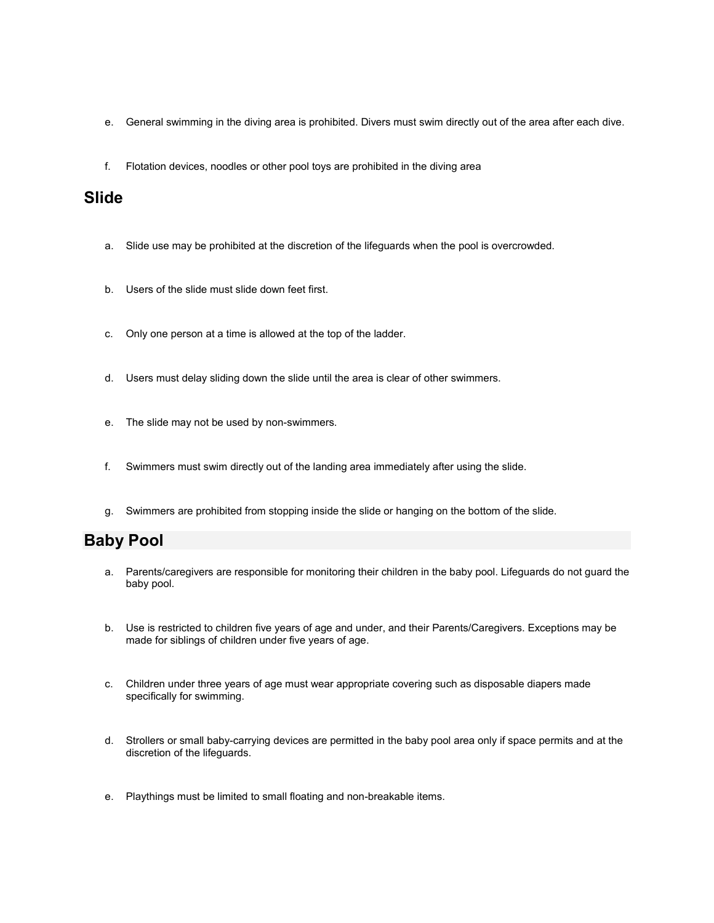- e. General swimming in the diving area is prohibited. Divers must swim directly out of the area after each dive.
- f. Flotation devices, noodles or other pool toys are prohibited in the diving area

### **Slide**

- a. Slide use may be prohibited at the discretion of the lifeguards when the pool is overcrowded.
- b. Users of the slide must slide down feet first.
- c. Only one person at a time is allowed at the top of the ladder.
- d. Users must delay sliding down the slide until the area is clear of other swimmers.
- e. The slide may not be used by non-swimmers.
- f. Swimmers must swim directly out of the landing area immediately after using the slide.
- g. Swimmers are prohibited from stopping inside the slide or hanging on the bottom of the slide.

### **Baby Pool**

- a. Parents/caregivers are responsible for monitoring their children in the baby pool. Lifeguards do not guard the baby pool.
- b. Use is restricted to children five years of age and under, and their Parents/Caregivers. Exceptions may be made for siblings of children under five years of age.
- c. Children under three years of age must wear appropriate covering such as disposable diapers made specifically for swimming.
- d. Strollers or small baby-carrying devices are permitted in the baby pool area only if space permits and at the discretion of the lifeguards.
- e. Playthings must be limited to small floating and non-breakable items.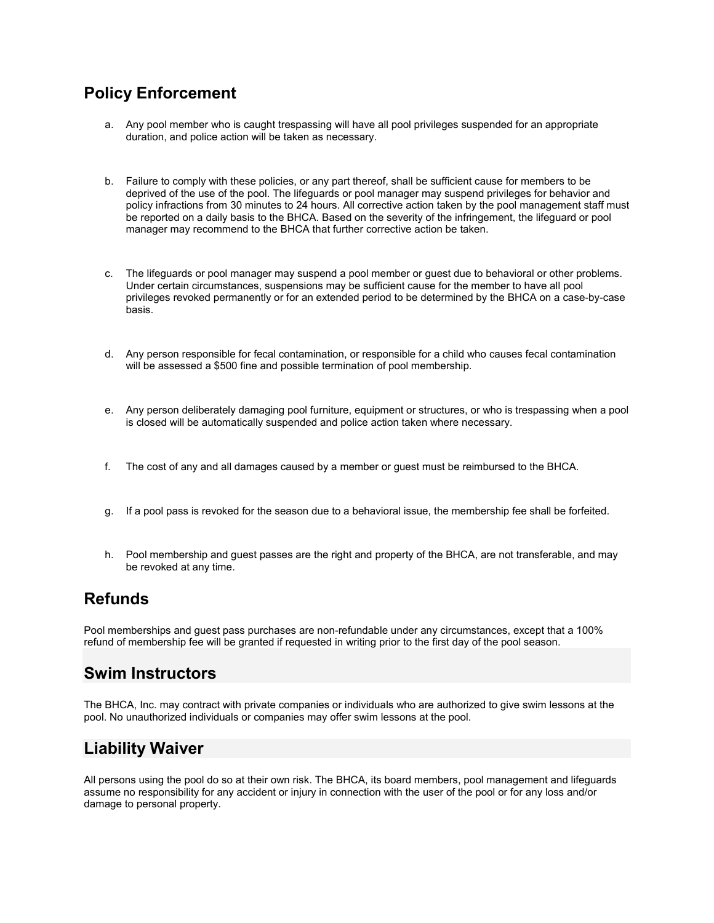# **Policy Enforcement**

- a. Any pool member who is caught trespassing will have all pool privileges suspended for an appropriate duration, and police action will be taken as necessary.
- b. Failure to comply with these policies, or any part thereof, shall be sufficient cause for members to be deprived of the use of the pool. The lifeguards or pool manager may suspend privileges for behavior and policy infractions from 30 minutes to 24 hours. All corrective action taken by the pool management staff must be reported on a daily basis to the BHCA. Based on the severity of the infringement, the lifeguard or pool manager may recommend to the BHCA that further corrective action be taken.
- c. The lifeguards or pool manager may suspend a pool member or guest due to behavioral or other problems. Under certain circumstances, suspensions may be sufficient cause for the member to have all pool privileges revoked permanently or for an extended period to be determined by the BHCA on a case-by-case basis.
- d. Any person responsible for fecal contamination, or responsible for a child who causes fecal contamination will be assessed a \$500 fine and possible termination of pool membership.
- e. Any person deliberately damaging pool furniture, equipment or structures, or who is trespassing when a pool is closed will be automatically suspended and police action taken where necessary.
- f. The cost of any and all damages caused by a member or guest must be reimbursed to the BHCA.
- g. If a pool pass is revoked for the season due to a behavioral issue, the membership fee shall be forfeited.
- h. Pool membership and guest passes are the right and property of the BHCA, are not transferable, and may be revoked at any time.

### **Refunds**

Pool memberships and guest pass purchases are non-refundable under any circumstances, except that a 100% refund of membership fee will be granted if requested in writing prior to the first day of the pool season.

### **Swim Instructors**

The BHCA, Inc. may contract with private companies or individuals who are authorized to give swim lessons at the pool. No unauthorized individuals or companies may offer swim lessons at the pool.

## **Liability Waiver**

All persons using the pool do so at their own risk. The BHCA, its board members, pool management and lifeguards assume no responsibility for any accident or injury in connection with the user of the pool or for any loss and/or damage to personal property.